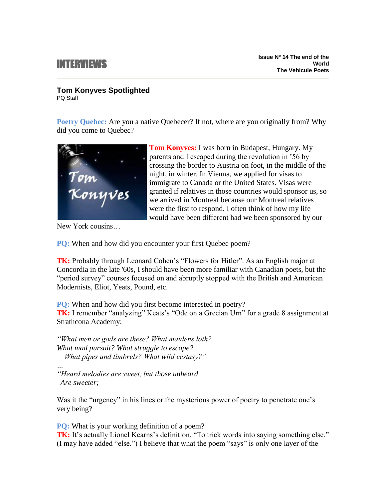## INTERVIEWS

## **Tom Konyves Spotlighted**

PQ Staff

**Poetry Quebec:** Are you a native Quebecer? If not, where are you originally from? Why did you come to Quebec?



**Tom Konyves:** I was born in Budapest, Hungary. My parents and I escaped during the revolution in '56 by crossing the border to Austria on foot, in the middle of the night, in winter. In Vienna, we applied for visas to immigrate to Canada or the United States. Visas were granted if relatives in those countries would sponsor us, so we arrived in Montreal because our Montreal relatives were the first to respond. I often think of how my life would have been different had we been sponsored by our

New York cousins…

**PQ:** When and how did you encounter your first Quebec poem?

**TK:** Probably through Leonard Cohen's "Flowers for Hitler". As an English major at Concordia in the late '60s, I should have been more familiar with Canadian poets, but the "period survey" courses focused on and abruptly stopped with the British and American Modernists, Eliot, Yeats, Pound, etc.

**PQ:** When and how did you first become interested in poetry? **TK:** I remember "analyzing" Keats's "Ode on a Grecian Urn" for a grade 8 assignment at Strathcona Academy:

*"What men or gods are these? What maidens loth? What mad pursuit? What struggle to escape? What pipes and timbrels? What wild ecstasy?"*

*… "Heard melodies are sweet, but those unheard Are sweeter;*

Was it the "urgency" in his lines or the mysterious power of poetry to penetrate one's very being?

**PQ:** What is your working definition of a poem?

**TK:** It's actually Lionel Kearns's definition. "To trick words into saying something else." (I may have added "else.") I believe that what the poem "says" is only one layer of the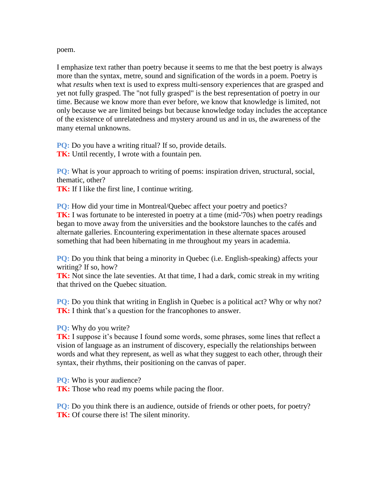poem.

I emphasize text rather than poetry because it seems to me that the best poetry is always more than the syntax, metre, sound and signification of the words in a poem. Poetry is what *results* when text is used to express multi-sensory experiences that are grasped and yet not fully grasped. The "not fully grasped" is the best representation of poetry in our time. Because we know more than ever before, we know that knowledge is limited, not only because we are limited beings but because knowledge today includes the acceptance of the existence of unrelatedness and mystery around us and in us, the awareness of the many eternal unknowns.

**PQ:** Do you have a writing ritual? If so, provide details. **TK:** Until recently, I wrote with a fountain pen.

**PQ:** What is your approach to writing of poems: inspiration driven, structural, social, thematic, other?

**TK:** If I like the first line, I continue writing.

**PQ:** How did your time in Montreal/Quebec affect your poetry and poetics? **TK:** I was fortunate to be interested in poetry at a time (mid-'70s) when poetry readings began to move away from the universities and the bookstore launches to the cafés and alternate galleries. Encountering experimentation in these alternate spaces aroused something that had been hibernating in me throughout my years in academia.

**PQ:** Do you think that being a minority in Quebec (i.e. English-speaking) affects your writing? If so, how?

**TK:** Not since the late seventies. At that time, I had a dark, comic streak in my writing that thrived on the Quebec situation.

**PQ:** Do you think that writing in English in Quebec is a political act? Why or why not? **TK:** I think that's a question for the francophones to answer.

**PQ:** Why do you write?

**TK:** I suppose it's because I found some words, some phrases, some lines that reflect a vision of language as an instrument of discovery, especially the relationships between words and what they represent, as well as what they suggest to each other, through their syntax, their rhythms, their positioning on the canvas of paper.

**PQ:** Who is your audience? **TK:** Those who read my poems while pacing the floor.

**PQ:** Do you think there is an audience, outside of friends or other poets, for poetry? **TK:** Of course there is! The silent minority.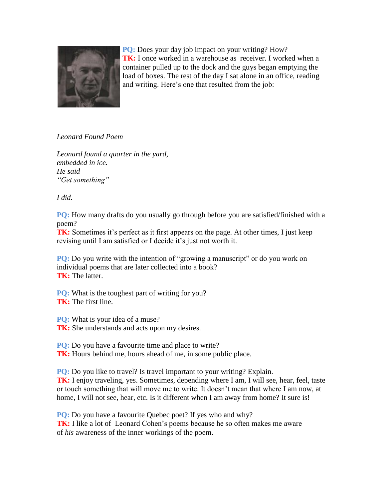

**PQ:** Does your day job impact on your writing? How? **TK:** I once worked in a warehouse as receiver. I worked when a container pulled up to the dock and the guys began emptying the load of boxes. The rest of the day I sat alone in an office, reading and writing. Here's one that resulted from the job:

*Leonard Found Poem*

*Leonard found a quarter in the yard, embedded in ice. He said "Get something"*

*I did.*

**PQ:** How many drafts do you usually go through before you are satisfied/finished with a poem?

**TK:** Sometimes it's perfect as it first appears on the page. At other times, I just keep revising until I am satisfied or I decide it's just not worth it.

**PQ:** Do you write with the intention of "growing a manuscript" or do you work on individual poems that are later collected into a book? **TK:** The latter.

**PQ:** What is the toughest part of writing for you? **TK:** The first line.

**PQ:** What is your idea of a muse?

**TK:** She understands and acts upon my desires.

**PQ:** Do you have a favourite time and place to write?

**TK:** Hours behind me, hours ahead of me, in some public place.

**PQ:** Do you like to travel? Is travel important to your writing? Explain.

**TK:** I enjoy traveling, yes. Sometimes, depending where I am, I will see, hear, feel, taste or touch something that will move me to write. It doesn't mean that where I am now, at home, I will not see, hear, etc. Is it different when I am away from home? It sure is!

**PQ:** Do you have a favourite Quebec poet? If yes who and why? **TK:** I like a lot of Leonard Cohen's poems because he so often makes me aware of *his* awareness of the inner workings of the poem.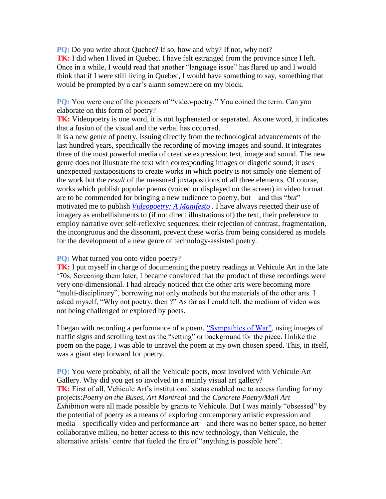**PQ:** Do you write about Quebec? If so, how and why? If not, why not? **TK:** I did when I lived in Quebec. I have felt estranged from the province since I left. Once in a while, I would read that another "language issue" has flared up and I would think that if I were still living in Quebec, I would have something to say, something that would be prompted by a car's alarm somewhere on my block.

**PQ:** You were one of the pioneers of "video-poetry." You coined the term. Can you elaborate on this form of poetry?

**TK:** Videopoetry is one word, it is not hyphenated or separated. As one word, it indicates that a fusion of the visual and the verbal has occurred.

It is a new genre of poetry, issuing directly from the technological advancements of the last hundred years, specifically the recording of moving images and sound. It integrates three of the most powerful media of creative expression: text, image and sound. The new genre does not illustrate the text with corresponding images or diagetic sound; it uses unexpected juxtapositions to create works in which poetry is not simply one element of the work but the *result* of the measured juxtapositions of all three elements. Of course, works which publish popular poems (voiced or displayed on the screen) in video format are to be commended for bringing a new audience to poetry, but – and this "*but*" motivated me to publish *[Videopoetry: A Manifesto](http://issuu.com/tomkonyves/docs/manifesto_pdf) .* I have always rejected their use of imagery as embellishments to (if not direct illustrations of) the text, their preference to employ narrative over self-reflexive sequences, their rejection of contrast, fragmentation, the incongruous and the dissonant, prevent these works from being considered as models for the development of a new genre of technology-assisted poetry.

**PQ:** What turned you onto video poetry?

**TK:** I put myself in charge of documenting the poetry readings at Vehicule Art in the late '70s. Screening them later, I became convinced that the product of these recordings were very one-dimensional. I had already noticed that the other arts were becoming more "multi-disciplinary", borrowing not only methods but the materials of the other arts. I asked myself, "Why not poetry, then ?" As far as I could tell, the medium of video was not being challenged or explored by poets.

I began with recording a performance of a poem, ["Sympathies of War",](http://vimeo.com/15524885) using images of traffic signs and scrolling text as the "setting" or background for the piece. Unlike the poem on the page, I was able to unravel the poem at my own chosen speed. This, in itself, was a giant step forward for poetry.

**PQ:** You were probably, of all the Vehicule poets, most involved with Vehicule Art Gallery. Why did you get so involved in a mainly visual art gallery? **TK:** First of all, Vehicule Art's institutional status enabled me to access funding for my projects:*Poetry on the Buses, Art Montreal* and the *Concrete Poetry/Mail Art Exhibition* were all made possible by grants to Vehicule. But I was mainly "obsessed" by the potential of poetry as a means of exploring contemporary artistic expression and media – specifically video and performance art – and there was no better space, no better collaborative milieu, no better access to this new technology, than Vehicule, the alternative artists' centre that fueled the fire of "anything is possible here".